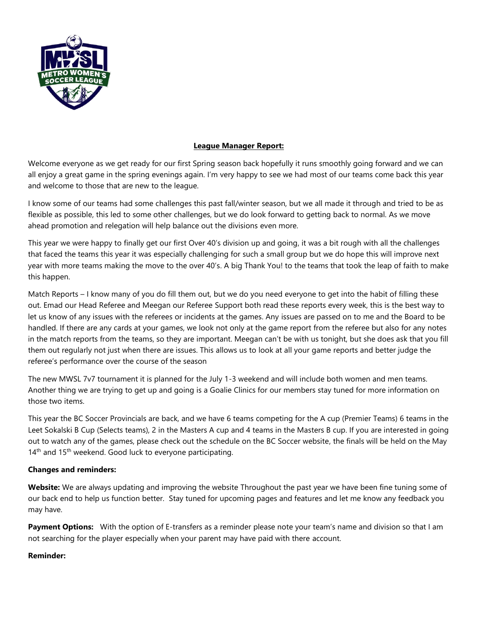

## **League Manager Report:**

Welcome everyone as we get ready for our first Spring season back hopefully it runs smoothly going forward and we can all enjoy a great game in the spring evenings again. I'm very happy to see we had most of our teams come back this year and welcome to those that are new to the league.

I know some of our teams had some challenges this past fall/winter season, but we all made it through and tried to be as flexible as possible, this led to some other challenges, but we do look forward to getting back to normal. As we move ahead promotion and relegation will help balance out the divisions even more.

This year we were happy to finally get our first Over 40's division up and going, it was a bit rough with all the challenges that faced the teams this year it was especially challenging for such a small group but we do hope this will improve next year with more teams making the move to the over 40's. A big Thank You! to the teams that took the leap of faith to make this happen.

Match Reports – I know many of you do fill them out, but we do you need everyone to get into the habit of filling these out. Emad our Head Referee and Meegan our Referee Support both read these reports every week, this is the best way to let us know of any issues with the referees or incidents at the games. Any issues are passed on to me and the Board to be handled. If there are any cards at your games, we look not only at the game report from the referee but also for any notes in the match reports from the teams, so they are important. Meegan can't be with us tonight, but she does ask that you fill them out regularly not just when there are issues. This allows us to look at all your game reports and better judge the referee's performance over the course of the season

The new MWSL 7v7 tournament it is planned for the July 1-3 weekend and will include both women and men teams. Another thing we are trying to get up and going is a Goalie Clinics for our members stay tuned for more information on those two items.

This year the BC Soccer Provincials are back, and we have 6 teams competing for the A cup (Premier Teams) 6 teams in the Leet Sokalski B Cup (Selects teams), 2 in the Masters A cup and 4 teams in the Masters B cup. If you are interested in going out to watch any of the games, please check out the schedule on the BC Soccer website, the finals will be held on the May 14<sup>th</sup> and 15<sup>th</sup> weekend. Good luck to everyone participating.

## **Changes and reminders:**

**Website:** We are always updating and improving the website Throughout the past year we have been fine tuning some of our back end to help us function better. Stay tuned for upcoming pages and features and let me know any feedback you may have.

**Payment Options:** With the option of E-transfers as a reminder please note your team's name and division so that I am not searching for the player especially when your parent may have paid with there account.

## **Reminder:**